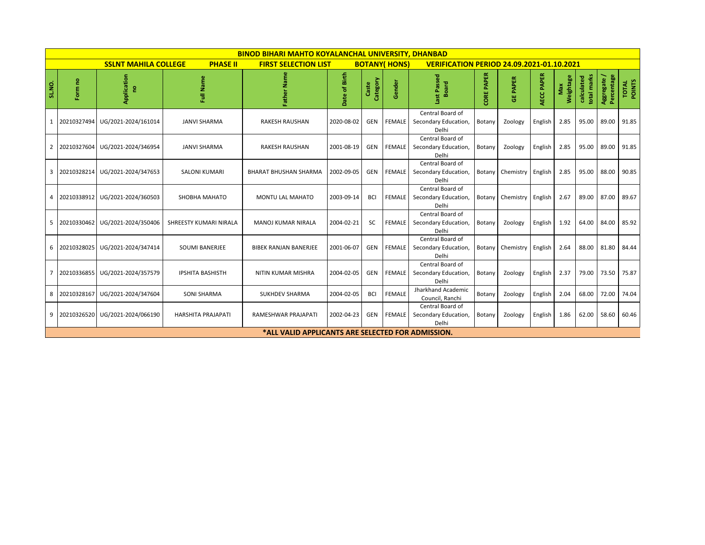|                                                |               |                     |                                                    | <b>BINOD BIHARI MAHTO KOYALANCHAL UNIVERSITY, DHANBAD</b> |               |                                                  |               |                                                   |                      |                          |            |                  |                           |                          |                 |
|------------------------------------------------|---------------|---------------------|----------------------------------------------------|-----------------------------------------------------------|---------------|--------------------------------------------------|---------------|---------------------------------------------------|----------------------|--------------------------|------------|------------------|---------------------------|--------------------------|-----------------|
| <b>SSLNT MAHILA COLLEGE</b><br><b>PHASE II</b> |               |                     | <b>FIRST SELECTION LIST</b><br><b>BOTANY(HONS)</b> |                                                           |               | <b>VERIFICATION PERIOD 24.09.2021-01.10.2021</b> |               |                                                   |                      |                          |            |                  |                           |                          |                 |
| <b>SL.NO.</b>                                  | S<br>Form     | Application<br>g    | Full Name                                          | ē<br>Father                                               | Date of Birth | Category<br>Caste                                | Gender        | Passed<br><b>Board</b>                            | <b>PAPER</b><br>CORE | <b>PAPER</b><br>뿡        | AECC PAPER | Weightage<br>Max | total marks<br>calculated | Aggregate/<br>Percentage | TOTAL<br>POINTS |
| $\mathbf{1}$                                   | 20210327494   | UG/2021-2024/161014 | <b>JANVI SHARMA</b>                                | <b>RAKESH RAUSHAN</b>                                     | 2020-08-02    | GEN                                              | <b>FEMALE</b> | Central Board of<br>Secondary Education,<br>Delhi | Botany               | Zoology                  | English    | 2.85             | 95.00                     | 89.00                    | 91.85           |
| $\overline{2}$                                 | 20210327604   | UG/2021-2024/346954 | <b>JANVI SHARMA</b>                                | <b>RAKESH RAUSHAN</b>                                     | 2001-08-19    | GEN                                              | <b>FEMALE</b> | Central Board of<br>Secondary Education,<br>Delhi | Botany               | Zoology                  | English    | 2.85             | 95.00                     | 89.00                    | 91.85           |
| 3                                              | 20210328214   | UG/2021-2024/347653 | <b>SALONI KUMARI</b>                               | <b>BHARAT BHUSHAN SHARMA</b>                              | 2002-09-05    | GEN                                              | FEMALE        | Central Board of<br>Secondary Education,<br>Delhi | Botany               | Chemistry English        |            | 2.85             | 95.00                     | 88.00                    | 90.85           |
| 4                                              | 20210338912   | UG/2021-2024/360503 | SHOBHA MAHATO                                      | <b>MONTU LAL MAHATO</b>                                   | 2003-09-14    | <b>BCI</b>                                       | FEMALE        | Central Board of<br>Secondary Education,<br>Delhi | Botany               | Chemistry English        |            | 2.67             | 89.00                     | 87.00                    | 89.67           |
| 5                                              | 20210330462   | UG/2021-2024/350406 | SHREESTY KUMARI NIRALA                             | <b>MANOJ KUMAR NIRALA</b>                                 | 2004-02-21    | SC                                               | <b>FEMALE</b> | Central Board of<br>Secondary Education,<br>Delhi | Botany               | Zoology                  | English    | 1.92             | 64.00                     | 84.00                    | 85.92           |
|                                                | 6 20210328025 | UG/2021-2024/347414 | <b>SOUMI BANERJEE</b>                              | <b>BIBEK RANJAN BANERJEE</b>                              | 2001-06-07    | GEN                                              | <b>FEMALE</b> | Central Board of<br>Secondary Education,<br>Delhi |                      | Botany Chemistry English |            | 2.64             | 88.00                     | 81.80                    | 84.44           |
| $\overline{7}$                                 | 20210336855   | UG/2021-2024/357579 | <b>IPSHITA BASHISTH</b>                            | <b>NITIN KUMAR MISHRA</b>                                 | 2004-02-05    | GEN                                              | <b>FEMALE</b> | Central Board of<br>Secondary Education,<br>Delhi | Botany               | Zoology                  | English    | 2.37             | 79.00                     | 73.50                    | 75.87           |
|                                                | 8 20210328167 | UG/2021-2024/347604 | <b>SONI SHARMA</b>                                 | <b>SUKHDEV SHARMA</b>                                     | 2004-02-05    | <b>BCI</b>                                       | <b>FEMALE</b> | Jharkhand Academic<br>Council, Ranchi             | Botany               | Zoology                  | English    | 2.04             | 68.00                     | 72.00                    | 74.04           |
| 9                                              | 20210326520   | UG/2021-2024/066190 | <b>HARSHITA PRAJAPATI</b>                          | RAMESHWAR PRAJAPATI                                       | 2002-04-23    | GEN                                              | <b>FEMALE</b> | Central Board of<br>Secondary Education,<br>Delhi | Botany               | Zoology                  | English    | 1.86             | 62.00                     | 58.60                    | 60.46           |
|                                                |               |                     |                                                    | *ALL VALID APPLICANTS ARE SELECTED FOR ADMISSION.         |               |                                                  |               |                                                   |                      |                          |            |                  |                           |                          |                 |